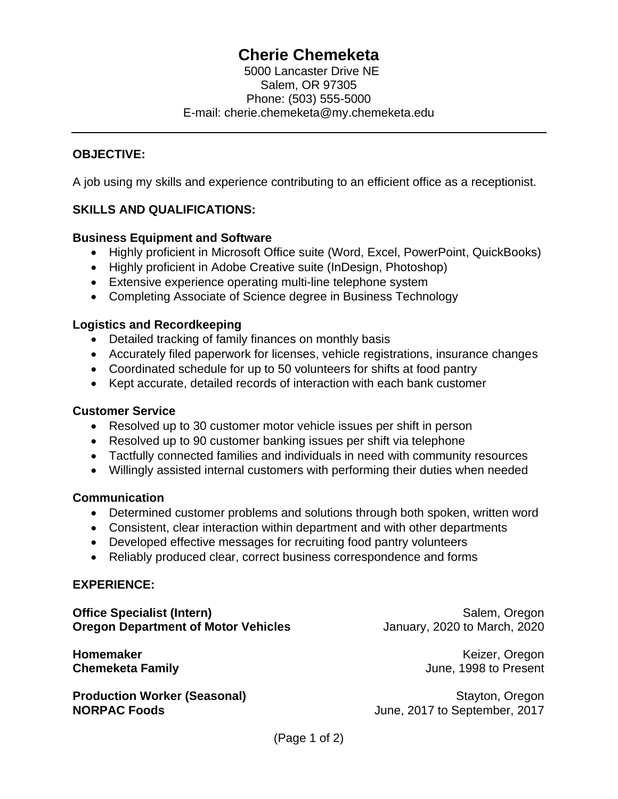# **Cherie Chemeketa**

5000 Lancaster Drive NE Salem, OR 97305 Phone: (503) 555-5000 E-mail: cherie.chemeketa@my.chemeketa.edu

### **OBJECTIVE:**

A job using my skills and experience contributing to an efficient office as a receptionist.

### **SKILLS AND QUALIFICATIONS:**

#### **Business Equipment and Software**

- Highly proficient in Microsoft Office suite (Word, Excel, PowerPoint, QuickBooks)
- Highly proficient in Adobe Creative suite (InDesign, Photoshop)
- Extensive experience operating multi-line telephone system
- Completing Associate of Science degree in Business Technology

#### **Logistics and Recordkeeping**

- Detailed tracking of family finances on monthly basis
- Accurately filed paperwork for licenses, vehicle registrations, insurance changes
- Coordinated schedule for up to 50 volunteers for shifts at food pantry
- Kept accurate, detailed records of interaction with each bank customer

#### **Customer Service**

- Resolved up to 30 customer motor vehicle issues per shift in person
- Resolved up to 90 customer banking issues per shift via telephone
- Tactfully connected families and individuals in need with community resources
- Willingly assisted internal customers with performing their duties when needed

#### **Communication**

- Determined customer problems and solutions through both spoken, written word
- Consistent, clear interaction within department and with other departments
- Developed effective messages for recruiting food pantry volunteers
- Reliably produced clear, correct business correspondence and forms

#### **EXPERIENCE:**

**Office Specialist (Intern)** Salem, Oregon Salem, Oregon **Oregon Department of Motor Vehicles** January, 2020 to March, 2020

**Homemaker** Keizer, Oregon **Chemeketa Family Chemeketa Family Chemeketa Family June**, 1998 to Present

**Production Worker (Seasonal)** Stayton, Oregon **NORPAC Foods** June, 2017 to September, 2017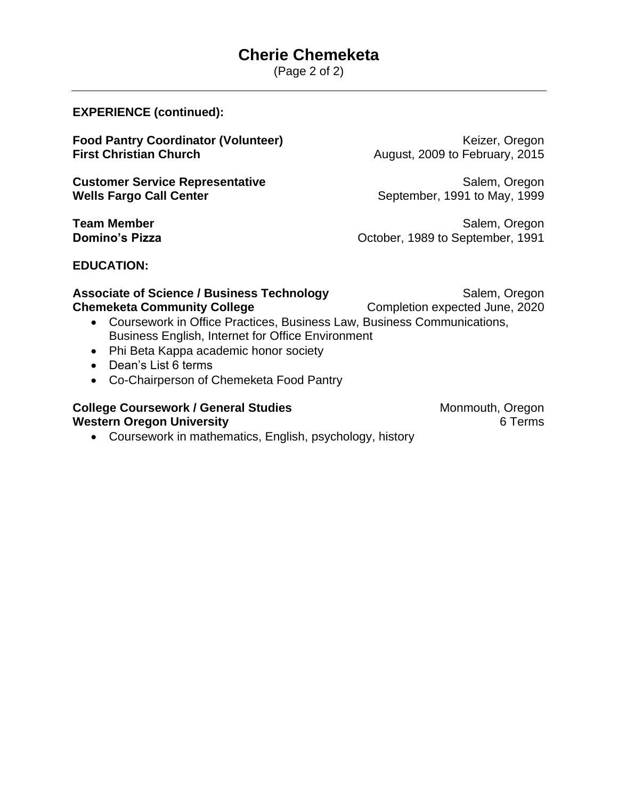## **Cherie Chemeketa**

(Page 2 of 2)

**EXPERIENCE (continued):**

**Food Pantry Coordinator (Volunteer)** The Coordination of the Keizer, Oregon **First Christian Church** August, 2009 to February, 2015

**Customer Service Representative Customer Salem, Oregon** Salem, Oregon **Wells Fargo Call Center** September, 1991 to May, 1999

**Team Member** Salem, Oregon **Domino's Pizza Domino's Pizza October, 1989 to September, 1991** 

**EDUCATION:**

**Associate of Science / Business Technology** Salem, Oregon **Chemeketa Community College** Completion expected June, 2020

- Coursework in Office Practices, Business Law, Business Communications, Business English, Internet for Office Environment
- Phi Beta Kappa academic honor society
- Dean's List 6 terms
- Co-Chairperson of Chemeketa Food Pantry

#### **College Coursework / General Studies** Monmouth, Oregon **Western Oregon University 6 Terms**

• Coursework in mathematics, English, psychology, history